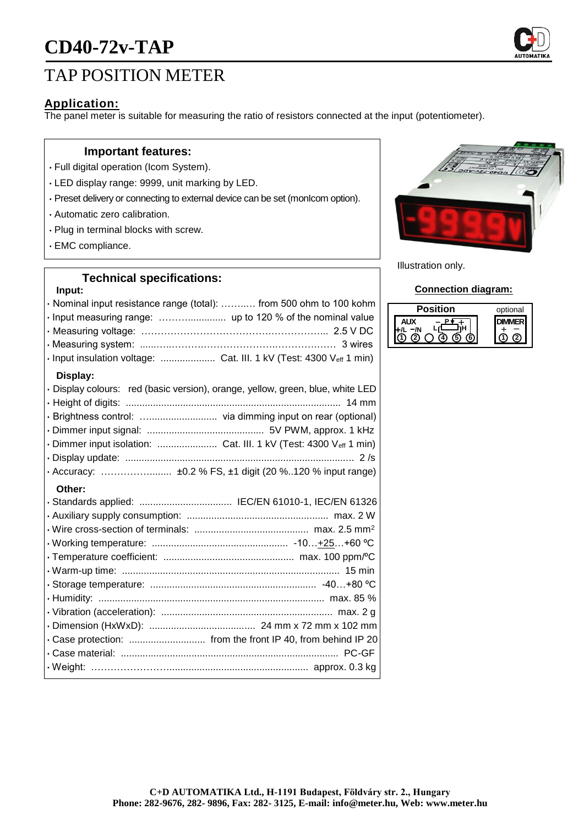# **CD40-72v-TAP**



# TAP POSITION METER

### **Application:**

The panel meter is suitable for measuring the ratio of resistors connected at the input (potentiometer).

#### **Important features:**

- Full digital operation (Icom System).
- LED display range: 9999, unit marking by LED.
- Preset delivery or connecting to external device can be set (monIcom option).
- Automatic zero calibration.
- Plug in terminal blocks with screw.
- EMC compliance.

## **Technical specifications:**

#### **Input:**

| · Nominal input resistance range (total):  from 500 ohm to 100 kohm<br>· Input measuring range:  up to 120 % of the nominal value<br>· Input insulation voltage:  Cat. III. 1 kV (Test: 4300 Veff 1 min) |
|----------------------------------------------------------------------------------------------------------------------------------------------------------------------------------------------------------|
| Display:<br>· Display colours: red (basic version), orange, yellow, green, blue, white LED<br>· Dimmer input isolation:  Cat. III. 1 kV (Test: 4300 Veff 1 min)                                          |
| Other:                                                                                                                                                                                                   |
|                                                                                                                                                                                                          |
|                                                                                                                                                                                                          |



Illustration only.

#### **Connection diagram:**

| sition | optional |
|--------|----------|
|        |          |